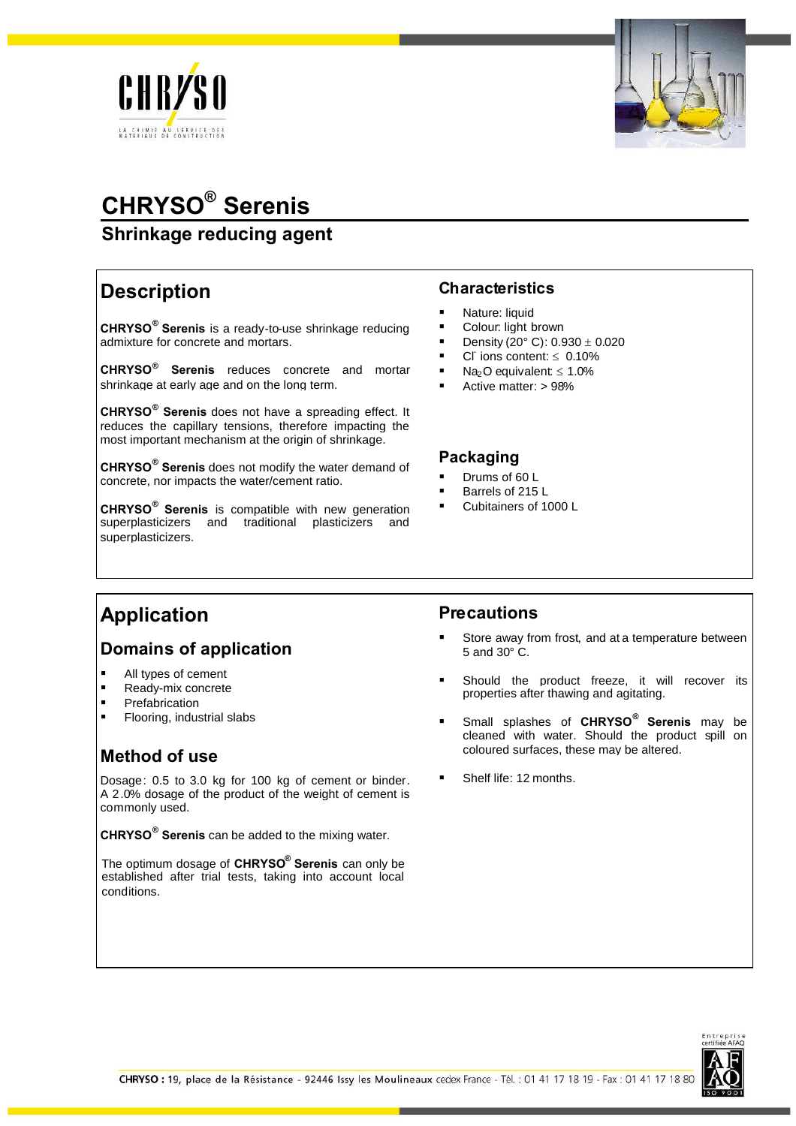



# **CHRYSO® Serenis**

## **Shrinkage reducing agent**

## **Description**

**CHRYSO® Serenis** is a ready-to-use shrinkage reducing admixture for concrete and mortars.

**CHRYSO® Serenis** reduces concrete and mortar shrinkage at early age and on the long term.

**CHRYSO® Serenis** does not have a spreading effect. It reduces the capillary tensions, therefore impacting the most important mechanism at the origin of shrinkage.

**CHRYSO® Serenis** does not modify the water demand of concrete, nor impacts the water/cement ratio.

**CHRYSO® Serenis** is compatible with new generation superplasticizers and traditional plasticizers and superplasticizers.

#### **Characteristics**

- Nature: liquid
- Colour: light brown
- Density (20 $^{\circ}$  C): 0.930  $\pm$  0.020
- Cl ions content:  $\leq 0.10\%$
- Na<sub>2</sub>O equivalent:  $\leq 1.0\%$
- Active matter: > 98%

#### **Packaging**

- Drums of 60 L
- Barrels of 215 L
- Cubitainers of 1000 L

# **Application**

### **Domains of application**

- All types of cement
- Ready-mix concrete
- Prefabrication
- Flooring, industrial slabs

## **Method of use**

Dosage: 0.5 to 3.0 kg for 100 kg of cement or binder. A 2.0% dosage of the product of the weight of cement is commonly used.

**CHRYSO® Serenis** can be added to the mixing water.

The optimum dosage of **CHRYSO® Serenis** can only be established after trial tests, taking into account local conditions.

#### **Precautions**

- Store away from frost, and at a temperature between 5 and 30° C.
- Should the product freeze, it will recover its properties after thawing and agitating.
- Small splashes of **CHRYSO® Serenis** may be cleaned with water. Should the product spill on coloured surfaces, these may be altered.
- Shelf life: 12 months.